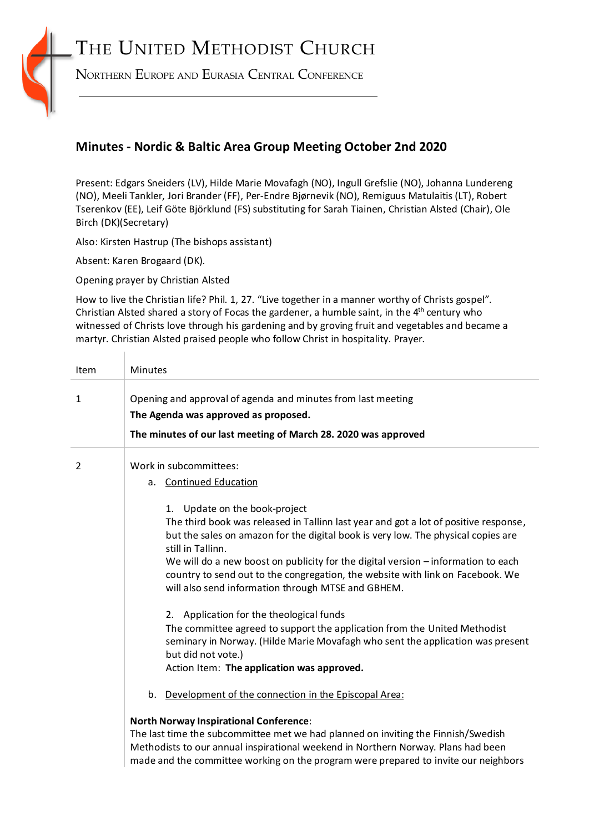## THE UNITED METHODIST CHURCH



NORTHERN EUROPE AND EURASIA CENTRAL CONFERENCE

## **Minutes - Nordic & Baltic Area Group Meeting October 2nd 2020**

Present: Edgars Sneiders (LV), Hilde Marie Movafagh (NO), Ingull Grefslie (NO), Johanna Lundereng (NO), Meeli Tankler, Jori Brander (FF), Per-Endre Bjørnevik (NO), Remiguus Matulaitis (LT), Robert Tserenkov (EE), Leif Göte Björklund (FS) substituting for Sarah Tiainen, Christian Alsted (Chair), Ole Birch (DK)(Secretary)

Also: Kirsten Hastrup (The bishops assistant)

Absent: Karen Brogaard (DK).

Opening prayer by Christian Alsted

How to live the Christian life? Phil. 1, 27. "Live together in a manner worthy of Christs gospel". Christian Alsted shared a story of Focas the gardener, a humble saint, in the  $4<sup>th</sup>$  century who witnessed of Christs love through his gardening and by groving fruit and vegetables and became a martyr. Christian Alsted praised people who follow Christ in hospitality. Prayer.

| Item           | Minutes                                                                                                                                                                                                                                                                                                                                                                                                                                                                                                                                                                                                                                                                                                                                                                                                                                                                                                               |
|----------------|-----------------------------------------------------------------------------------------------------------------------------------------------------------------------------------------------------------------------------------------------------------------------------------------------------------------------------------------------------------------------------------------------------------------------------------------------------------------------------------------------------------------------------------------------------------------------------------------------------------------------------------------------------------------------------------------------------------------------------------------------------------------------------------------------------------------------------------------------------------------------------------------------------------------------|
| 1              | Opening and approval of agenda and minutes from last meeting<br>The Agenda was approved as proposed.<br>The minutes of our last meeting of March 28. 2020 was approved                                                                                                                                                                                                                                                                                                                                                                                                                                                                                                                                                                                                                                                                                                                                                |
| $\overline{2}$ | Work in subcommittees:<br><b>Continued Education</b><br>a.<br>1. Update on the book-project<br>The third book was released in Tallinn last year and got a lot of positive response,<br>but the sales on amazon for the digital book is very low. The physical copies are<br>still in Tallinn.<br>We will do a new boost on publicity for the digital version – information to each<br>country to send out to the congregation, the website with link on Facebook. We<br>will also send information through MTSE and GBHEM.<br>2. Application for the theological funds<br>The committee agreed to support the application from the United Methodist<br>seminary in Norway. (Hilde Marie Movafagh who sent the application was present<br>but did not vote.)<br>Action Item: The application was approved.<br>b. Development of the connection in the Episcopal Area:<br><b>North Norway Inspirational Conference:</b> |
|                | The last time the subcommittee met we had planned on inviting the Finnish/Swedish                                                                                                                                                                                                                                                                                                                                                                                                                                                                                                                                                                                                                                                                                                                                                                                                                                     |

The last time the subcommittee met we had planned on inviting the Finnish/Swedish Methodists to our annual inspirational weekend in Northern Norway. Plans had been made and the committee working on the program were prepared to invite our neighbors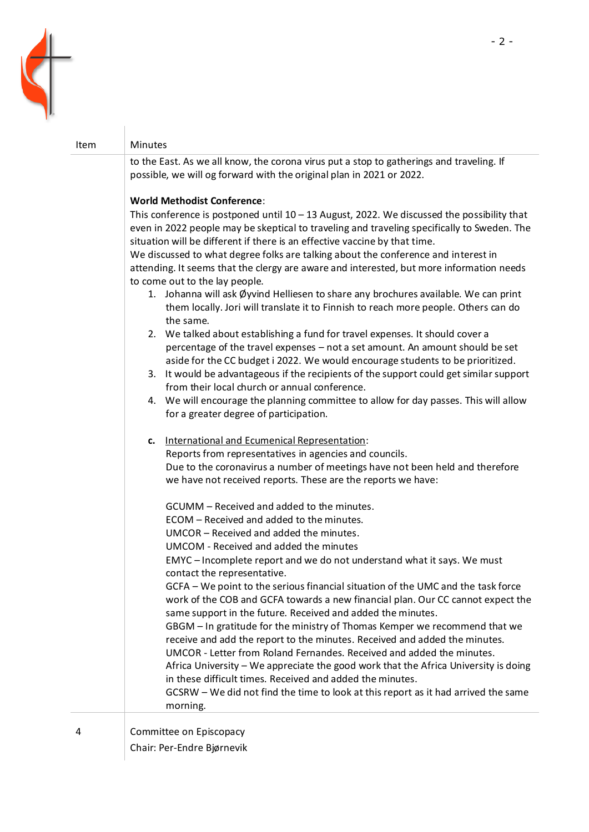

| Item | Minutes |                                                                                                                                                                                                                                                                                                                                                                                                                                                                                                                                                                                                                                                                                                                                                                                                                                                                                                                                                                                                                         |
|------|---------|-------------------------------------------------------------------------------------------------------------------------------------------------------------------------------------------------------------------------------------------------------------------------------------------------------------------------------------------------------------------------------------------------------------------------------------------------------------------------------------------------------------------------------------------------------------------------------------------------------------------------------------------------------------------------------------------------------------------------------------------------------------------------------------------------------------------------------------------------------------------------------------------------------------------------------------------------------------------------------------------------------------------------|
|      |         | to the East. As we all know, the corona virus put a stop to gatherings and traveling. If<br>possible, we will og forward with the original plan in 2021 or 2022.                                                                                                                                                                                                                                                                                                                                                                                                                                                                                                                                                                                                                                                                                                                                                                                                                                                        |
|      |         | <b>World Methodist Conference:</b>                                                                                                                                                                                                                                                                                                                                                                                                                                                                                                                                                                                                                                                                                                                                                                                                                                                                                                                                                                                      |
|      |         | This conference is postponed until $10 - 13$ August, 2022. We discussed the possibility that<br>even in 2022 people may be skeptical to traveling and traveling specifically to Sweden. The<br>situation will be different if there is an effective vaccine by that time.<br>We discussed to what degree folks are talking about the conference and interest in                                                                                                                                                                                                                                                                                                                                                                                                                                                                                                                                                                                                                                                         |
|      |         | attending. It seems that the clergy are aware and interested, but more information needs                                                                                                                                                                                                                                                                                                                                                                                                                                                                                                                                                                                                                                                                                                                                                                                                                                                                                                                                |
|      |         | to come out to the lay people.<br>1. Johanna will ask Øyvind Helliesen to share any brochures available. We can print<br>them locally. Jori will translate it to Finnish to reach more people. Others can do<br>the same.<br>2. We talked about establishing a fund for travel expenses. It should cover a                                                                                                                                                                                                                                                                                                                                                                                                                                                                                                                                                                                                                                                                                                              |
|      |         | percentage of the travel expenses - not a set amount. An amount should be set<br>aside for the CC budget i 2022. We would encourage students to be prioritized.                                                                                                                                                                                                                                                                                                                                                                                                                                                                                                                                                                                                                                                                                                                                                                                                                                                         |
|      |         | 3. It would be advantageous if the recipients of the support could get similar support<br>from their local church or annual conference.                                                                                                                                                                                                                                                                                                                                                                                                                                                                                                                                                                                                                                                                                                                                                                                                                                                                                 |
|      | 4.      | We will encourage the planning committee to allow for day passes. This will allow<br>for a greater degree of participation.                                                                                                                                                                                                                                                                                                                                                                                                                                                                                                                                                                                                                                                                                                                                                                                                                                                                                             |
|      | c.      | International and Ecumenical Representation:<br>Reports from representatives in agencies and councils.<br>Due to the coronavirus a number of meetings have not been held and therefore<br>we have not received reports. These are the reports we have:                                                                                                                                                                                                                                                                                                                                                                                                                                                                                                                                                                                                                                                                                                                                                                  |
|      |         | GCUMM - Received and added to the minutes.<br>ECOM - Received and added to the minutes.<br>UMCOR - Received and added the minutes.<br>UMCOM - Received and added the minutes<br>EMYC - Incomplete report and we do not understand what it says. We must<br>contact the representative.<br>GCFA - We point to the serious financial situation of the UMC and the task force<br>work of the COB and GCFA towards a new financial plan. Our CC cannot expect the<br>same support in the future. Received and added the minutes.<br>GBGM - In gratitude for the ministry of Thomas Kemper we recommend that we<br>receive and add the report to the minutes. Received and added the minutes.<br>UMCOR - Letter from Roland Fernandes. Received and added the minutes.<br>Africa University - We appreciate the good work that the Africa University is doing<br>in these difficult times. Received and added the minutes.<br>GCSRW – We did not find the time to look at this report as it had arrived the same<br>morning. |
|      |         |                                                                                                                                                                                                                                                                                                                                                                                                                                                                                                                                                                                                                                                                                                                                                                                                                                                                                                                                                                                                                         |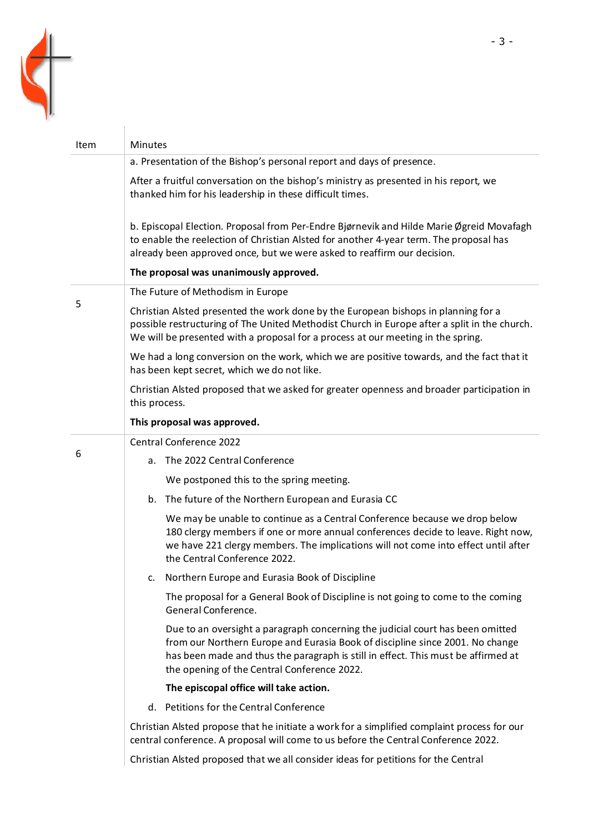

| Item | Minutes                                                                                                                                                                                                                                                                                             |  |
|------|-----------------------------------------------------------------------------------------------------------------------------------------------------------------------------------------------------------------------------------------------------------------------------------------------------|--|
|      | a. Presentation of the Bishop's personal report and days of presence.                                                                                                                                                                                                                               |  |
|      | After a fruitful conversation on the bishop's ministry as presented in his report, we<br>thanked him for his leadership in these difficult times.                                                                                                                                                   |  |
|      | b. Episcopal Election. Proposal from Per-Endre Bjørnevik and Hilde Marie Øgreid Movafagh<br>to enable the reelection of Christian Alsted for another 4-year term. The proposal has<br>already been approved once, but we were asked to reaffirm our decision.                                       |  |
|      | The proposal was unanimously approved.                                                                                                                                                                                                                                                              |  |
| 5    | The Future of Methodism in Europe                                                                                                                                                                                                                                                                   |  |
|      | Christian Alsted presented the work done by the European bishops in planning for a<br>possible restructuring of The United Methodist Church in Europe after a split in the church.<br>We will be presented with a proposal for a process at our meeting in the spring.                              |  |
|      | We had a long conversion on the work, which we are positive towards, and the fact that it<br>has been kept secret, which we do not like.                                                                                                                                                            |  |
|      | Christian Alsted proposed that we asked for greater openness and broader participation in<br>this process.                                                                                                                                                                                          |  |
|      | This proposal was approved.                                                                                                                                                                                                                                                                         |  |
|      |                                                                                                                                                                                                                                                                                                     |  |
|      | <b>Central Conference 2022</b>                                                                                                                                                                                                                                                                      |  |
| 6    | a. The 2022 Central Conference                                                                                                                                                                                                                                                                      |  |
|      | We postponed this to the spring meeting.                                                                                                                                                                                                                                                            |  |
|      | b. The future of the Northern European and Eurasia CC                                                                                                                                                                                                                                               |  |
|      | We may be unable to continue as a Central Conference because we drop below<br>180 clergy members if one or more annual conferences decide to leave. Right now,<br>we have 221 clergy members. The implications will not come into effect until after<br>the Central Conference 2022.                |  |
|      | Northern Europe and Eurasia Book of Discipline<br>c.                                                                                                                                                                                                                                                |  |
|      | The proposal for a General Book of Discipline is not going to come to the coming<br>General Conference.                                                                                                                                                                                             |  |
|      | Due to an oversight a paragraph concerning the judicial court has been omitted<br>from our Northern Europe and Eurasia Book of discipline since 2001. No change<br>has been made and thus the paragraph is still in effect. This must be affirmed at<br>the opening of the Central Conference 2022. |  |
|      | The episcopal office will take action.                                                                                                                                                                                                                                                              |  |
|      | d. Petitions for the Central Conference                                                                                                                                                                                                                                                             |  |

Christian Alsted proposed that we all consider ideas for petitions for the Central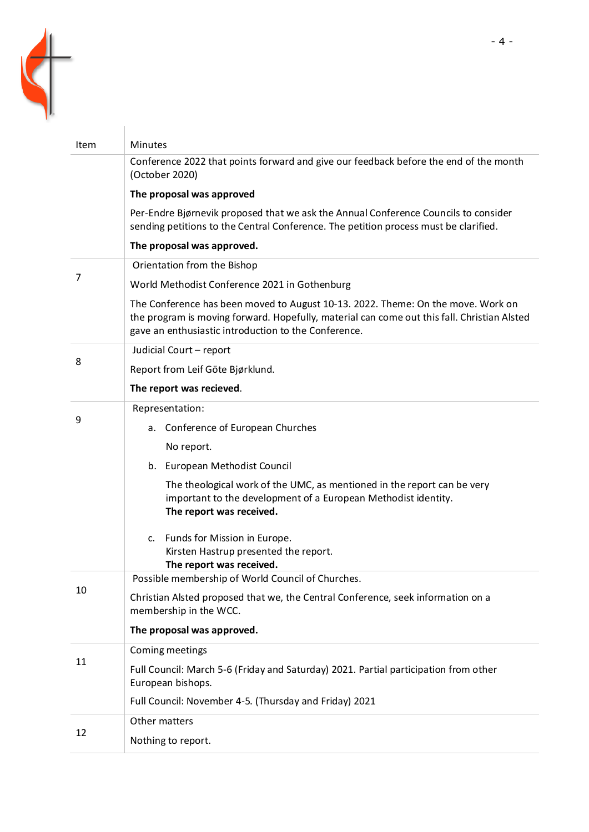

| Item | <b>Minutes</b>                                                                                                                                                                                                                          |  |  |
|------|-----------------------------------------------------------------------------------------------------------------------------------------------------------------------------------------------------------------------------------------|--|--|
|      | Conference 2022 that points forward and give our feedback before the end of the month<br>(October 2020)                                                                                                                                 |  |  |
|      | The proposal was approved                                                                                                                                                                                                               |  |  |
|      | Per-Endre Biørnevik proposed that we ask the Annual Conference Councils to consider<br>sending petitions to the Central Conference. The petition process must be clarified.                                                             |  |  |
|      | The proposal was approved.                                                                                                                                                                                                              |  |  |
| 7    | Orientation from the Bishop                                                                                                                                                                                                             |  |  |
|      | World Methodist Conference 2021 in Gothenburg                                                                                                                                                                                           |  |  |
|      | The Conference has been moved to August 10-13. 2022. Theme: On the move. Work on<br>the program is moving forward. Hopefully, material can come out this fall. Christian Alsted<br>gave an enthusiastic introduction to the Conference. |  |  |
|      | Judicial Court - report                                                                                                                                                                                                                 |  |  |
| 8    | Report from Leif Göte Bjørklund.                                                                                                                                                                                                        |  |  |
|      | The report was recieved.                                                                                                                                                                                                                |  |  |
|      | Representation:                                                                                                                                                                                                                         |  |  |
| 9    | Conference of European Churches<br>a.                                                                                                                                                                                                   |  |  |
|      | No report.                                                                                                                                                                                                                              |  |  |
|      | b. European Methodist Council                                                                                                                                                                                                           |  |  |
|      | The theological work of the UMC, as mentioned in the report can be very<br>important to the development of a European Methodist identity.<br>The report was received.                                                                   |  |  |
|      | c. Funds for Mission in Europe.<br>Kirsten Hastrup presented the report.<br>The report was received.                                                                                                                                    |  |  |
|      | Possible membership of World Council of Churches.                                                                                                                                                                                       |  |  |
| 10   | Christian Alsted proposed that we, the Central Conference, seek information on a<br>membership in the WCC.                                                                                                                              |  |  |
|      | The proposal was approved.                                                                                                                                                                                                              |  |  |
| 11   | Coming meetings                                                                                                                                                                                                                         |  |  |
|      | Full Council: March 5-6 (Friday and Saturday) 2021. Partial participation from other<br>European bishops.                                                                                                                               |  |  |
|      | Full Council: November 4-5. (Thursday and Friday) 2021                                                                                                                                                                                  |  |  |
| 12   | Other matters                                                                                                                                                                                                                           |  |  |
|      | Nothing to report.                                                                                                                                                                                                                      |  |  |